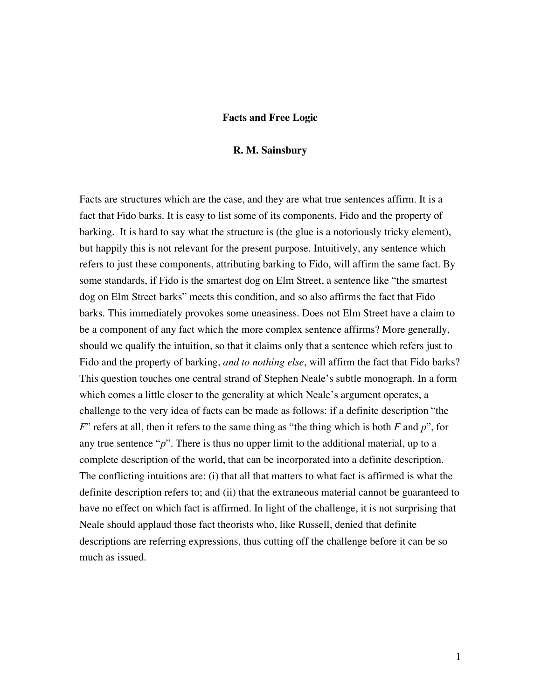## **Facts and Free Logic**

## **R. M. Sainsbury**

Facts are structures which are the case, and they are what true sentences affirm. It is a fact that Fido barks. It is easy to list some of its components, Fido and the property of barking. It is hard to say what the structure is (the glue is a notoriously tricky element), but happily this is not relevant for the present purpose. Intuitively, any sentence which refers to just these components, attributing barking to Fido, will affirm the same fact. By some standards, if Fido is the smartest dog on Elm Street, a sentence like "the smartest dog on Elm Street barks" meets this condition, and so also affirms the fact that Fido barks. This immediately provokes some uneasiness. Does not Elm Street have a claim to be a component of any fact which the more complex sentence affirms? More generally, should we qualify the intuition, so that it claims only that a sentence which refers just to Fido and the property of barking, *and to nothing else*, will affirm the fact that Fido barks? This question touches one central strand of Stephen Neale's subtle monograph. In a form which comes a little closer to the generality at which Neale's argument operates, a challenge to the very idea of facts can be made as follows: if a definite description "the *F*" refers at all, then it refers to the same thing as "the thing which is both *F* and *p*", for any true sentence "*p*". There is thus no upper limit to the additional material, up to a complete description of the world, that can be incorporated into a definite description. The conflicting intuitions are: (i) that all that matters to what fact is affirmed is what the definite description refers to; and (ii) that the extraneous material cannot be guaranteed to have no effect on which fact is affirmed. In light of the challenge, it is not surprising that Neale should applaud those fact theorists who, like Russell, denied that definite descriptions are referring expressions, thus cutting off the challenge before it can be so much as issued.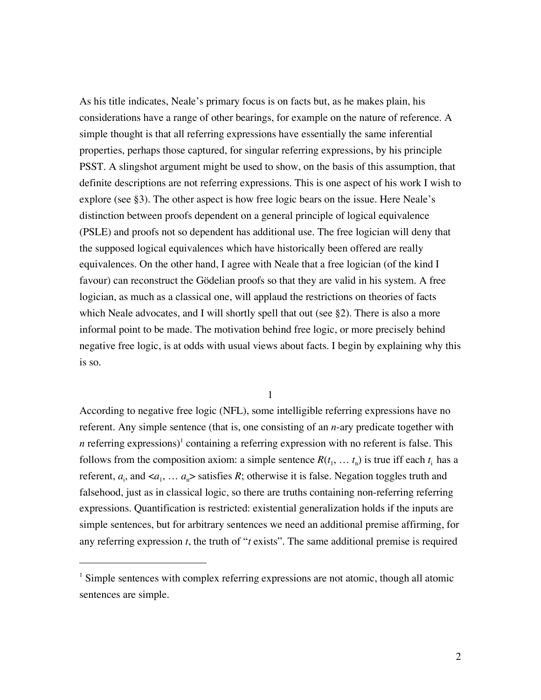As his title indicates, Neale's primary focus is on facts but, as he makes plain, his considerations have a range of other bearings, for example on the nature of reference. A simple thought is that all referring expressions have essentially the same inferential properties, perhaps those captured, for singular referring expressions, by his principle PSST. A slingshot argument might be used to show, on the basis of this assumption, that definite descriptions are not referring expressions. This is one aspect of his work I wish to explore (see §3). The other aspect is how free logic bears on the issue. Here Neale's distinction between proofs dependent on a general principle of logical equivalence (PSLE) and proofs not so dependent has additional use. The free logician will deny that the supposed logical equivalences which have historically been offered are really equivalences. On the other hand, I agree with Neale that a free logician (of the kind I favour) can reconstruct the Gödelian proofs so that they are valid in his system. A free logician, as much as a classical one, will applaud the restrictions on theories of facts which Neale advocates, and I will shortly spell that out (see §2). There is also a more informal point to be made. The motivation behind free logic, or more precisely behind negative free logic, is at odds with usual views about facts. I begin by explaining why this is so.

1

According to negative free logic (NFL), some intelligible referring expressions have no referent. Any simple sentence (that is, one consisting of an *n*-ary predicate together with n referring expressions)<sup>1</sup> containing a referring expression with no referent is false. This follows from the composition axiom: a simple sentence  $R(t_1, \ldots, t_n)$  is true iff each  $t_i$  has a referent,  $a_i$ , and  $, ...  $a_n$  satisfies  $R$ ; otherwise it is false. Negation toggles truth and$ falsehood, just as in classical logic, so there are truths containing non-referring referring expressions. Quantification is restricted: existential generalization holds if the inputs are simple sentences, but for arbitrary sentences we need an additional premise affirming, for any referring expression *t*, the truth of "*t* exists". The same additional premise is required

 $\overline{a}$ 

 $<sup>1</sup>$  Simple sentences with complex referring expressions are not atomic, though all atomic</sup> sentences are simple.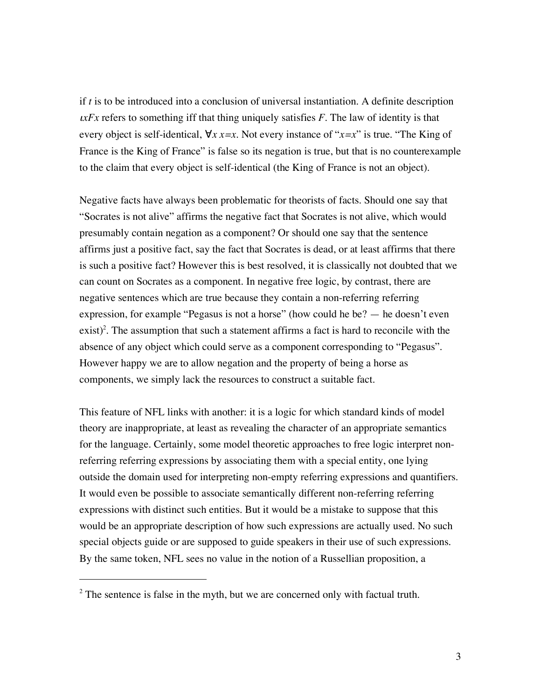if *t* is to be introduced into a conclusion of universal instantiation. A definite description <sup>ι</sup>*xFx* refers to something iff that thing uniquely satisfies *F*. The law of identity is that every object is self-identical, ∀*x x=x*. Not every instance of "*x=x*" is true. "The King of France is the King of France" is false so its negation is true, but that is no counterexample to the claim that every object is self-identical (the King of France is not an object).

Negative facts have always been problematic for theorists of facts. Should one say that "Socrates is not alive" affirms the negative fact that Socrates is not alive, which would presumably contain negation as a component? Or should one say that the sentence affirms just a positive fact, say the fact that Socrates is dead, or at least affirms that there is such a positive fact? However this is best resolved, it is classically not doubted that we can count on Socrates as a component. In negative free logic, by contrast, there are negative sentences which are true because they contain a non-referring referring expression, for example "Pegasus is not a horse" (how could he be? — he doesn't even exist)<sup>2</sup>. The assumption that such a statement affirms a fact is hard to reconcile with the absence of any object which could serve as a component corresponding to "Pegasus". However happy we are to allow negation and the property of being a horse as components, we simply lack the resources to construct a suitable fact.

This feature of NFL links with another: it is a logic for which standard kinds of model theory are inappropriate, at least as revealing the character of an appropriate semantics for the language. Certainly, some model theoretic approaches to free logic interpret nonreferring referring expressions by associating them with a special entity, one lying outside the domain used for interpreting non-empty referring expressions and quantifiers. It would even be possible to associate semantically different non-referring referring expressions with distinct such entities. But it would be a mistake to suppose that this would be an appropriate description of how such expressions are actually used. No such special objects guide or are supposed to guide speakers in their use of such expressions. By the same token, NFL sees no value in the notion of a Russellian proposition, a

 $\overline{a}$ 

 $2^2$  The sentence is false in the myth, but we are concerned only with factual truth.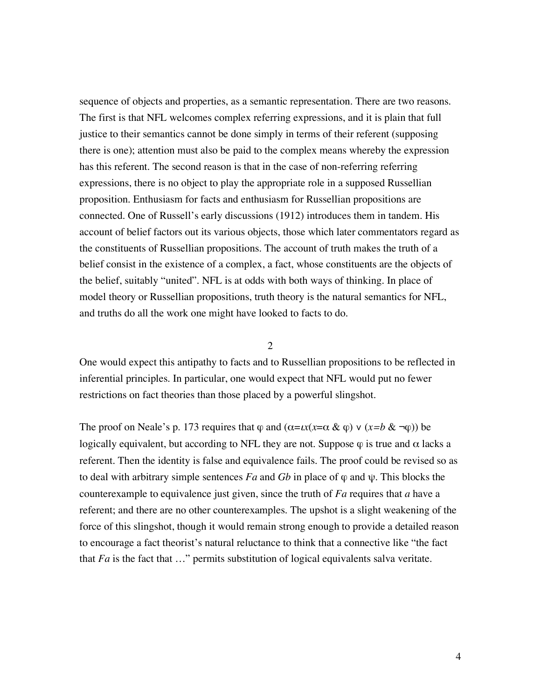sequence of objects and properties, as a semantic representation. There are two reasons. The first is that NFL welcomes complex referring expressions, and it is plain that full justice to their semantics cannot be done simply in terms of their referent (supposing there is one); attention must also be paid to the complex means whereby the expression has this referent. The second reason is that in the case of non-referring referring expressions, there is no object to play the appropriate role in a supposed Russellian proposition. Enthusiasm for facts and enthusiasm for Russellian propositions are connected. One of Russell's early discussions (1912) introduces them in tandem. His account of belief factors out its various objects, those which later commentators regard as the constituents of Russellian propositions. The account of truth makes the truth of a belief consist in the existence of a complex, a fact, whose constituents are the objects of the belief, suitably "united". NFL is at odds with both ways of thinking. In place of model theory or Russellian propositions, truth theory is the natural semantics for NFL, and truths do all the work one might have looked to facts to do.

## 2

One would expect this antipathy to facts and to Russellian propositions to be reflected in inferential principles. In particular, one would expect that NFL would put no fewer restrictions on fact theories than those placed by a powerful slingshot.

The proof on Neale's p. 173 requires that  $\varphi$  and  $(\alpha = \iota x(x = \alpha \& \varphi) \vee (x = b \& \neg \varphi)$ ) be logically equivalent, but according to NFL they are not. Suppose  $\varphi$  is true and  $\alpha$  lacks a referent. Then the identity is false and equivalence fails. The proof could be revised so as to deal with arbitrary simple sentences *Fa* and *Gb* in place of  $\varphi$  and  $\psi$ . This blocks the counterexample to equivalence just given, since the truth of *Fa* requires that *a* have a referent; and there are no other counterexamples. The upshot is a slight weakening of the force of this slingshot, though it would remain strong enough to provide a detailed reason to encourage a fact theorist's natural reluctance to think that a connective like "the fact that *Fa* is the fact that …" permits substitution of logical equivalents salva veritate.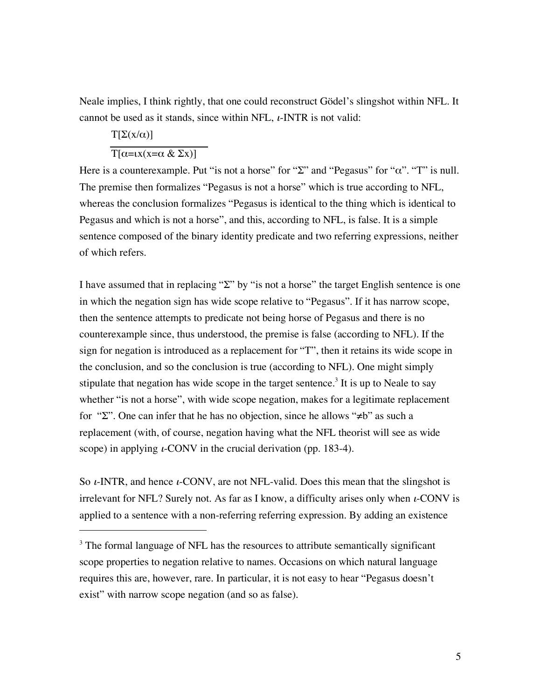Neale implies, I think rightly, that one could reconstruct Gödel's slingshot within NFL. It cannot be used as it stands, since within NFL,  $\iota$ -INTR is not valid:

$$
\frac{T[\Sigma(x/\alpha)]}{T[\alpha=x(x=\alpha \& \Sigma x)]}
$$

 $\overline{a}$ 

Here is a counterexample. Put "is not a horse" for "Σ" and "Pegasus" for " $\alpha$ ". "T" is null. The premise then formalizes "Pegasus is not a horse" which is true according to NFL, whereas the conclusion formalizes "Pegasus is identical to the thing which is identical to Pegasus and which is not a horse", and this, according to NFL, is false. It is a simple sentence composed of the binary identity predicate and two referring expressions, neither of which refers.

I have assumed that in replacing "Σ" by "is not a horse" the target English sentence is one in which the negation sign has wide scope relative to "Pegasus". If it has narrow scope, then the sentence attempts to predicate not being horse of Pegasus and there is no counterexample since, thus understood, the premise is false (according to NFL). If the sign for negation is introduced as a replacement for "T", then it retains its wide scope in the conclusion, and so the conclusion is true (according to NFL). One might simply stipulate that negation has wide scope in the target sentence.<sup>3</sup> It is up to Neale to say whether "is not a horse", with wide scope negation, makes for a legitimate replacement for "Σ". One can infer that he has no objection, since he allows "≠b" as such a replacement (with, of course, negation having what the NFL theorist will see as wide scope) in applying  $\iota$ -CONV in the crucial derivation (pp. 183-4).

So  $\iota$ -INTR, and hence  $\iota$ -CONV, are not NFL-valid. Does this mean that the slingshot is irrelevant for NFL? Surely not. As far as I know, a difficulty arises only when  $\iota$ -CONV is applied to a sentence with a non-referring referring expression. By adding an existence

<sup>&</sup>lt;sup>3</sup> The formal language of NFL has the resources to attribute semantically significant scope properties to negation relative to names. Occasions on which natural language requires this are, however, rare. In particular, it is not easy to hear "Pegasus doesn't exist" with narrow scope negation (and so as false).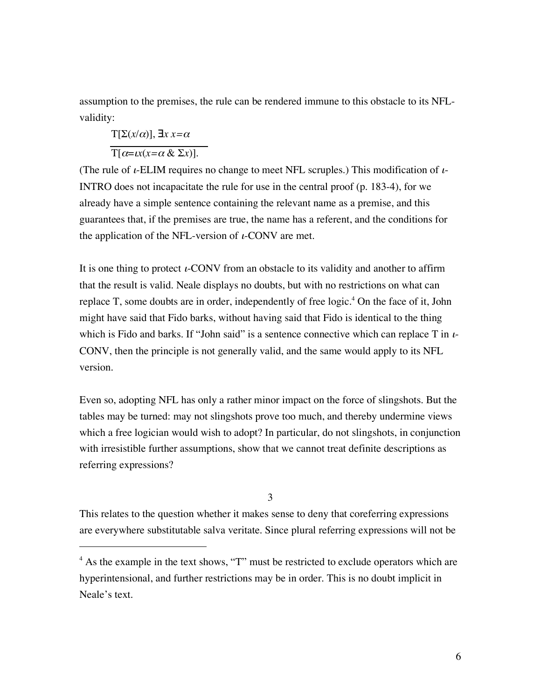assumption to the premises, the rule can be rendered immune to this obstacle to its NFLvalidity:

$$
T[\Sigma(x/\alpha)],\exists x\,x=\alpha
$$

 $\overline{a}$ 

 $\overline{T[\alpha=ux(x=\alpha \& \Sigma x)]}.$ 

(The rule of  $\iota$ -ELIM requires no change to meet NFL scruples.) This modification of  $\iota$ -INTRO does not incapacitate the rule for use in the central proof (p. 183-4), for we already have a simple sentence containing the relevant name as a premise, and this guarantees that, if the premises are true, the name has a referent, and the conditions for the application of the NFL-version of  $\iota$ -CONV are met.

It is one thing to protect *i*-CONV from an obstacle to its validity and another to affirm that the result is valid. Neale displays no doubts, but with no restrictions on what can replace T, some doubts are in order, independently of free logic.<sup>4</sup> On the face of it, John might have said that Fido barks, without having said that Fido is identical to the thing which is Fido and barks. If "John said" is a sentence connective which can replace T in  $\iota$ -CONV, then the principle is not generally valid, and the same would apply to its NFL version.

Even so, adopting NFL has only a rather minor impact on the force of slingshots. But the tables may be turned: may not slingshots prove too much, and thereby undermine views which a free logician would wish to adopt? In particular, do not slingshots, in conjunction with irresistible further assumptions, show that we cannot treat definite descriptions as referring expressions?

3

This relates to the question whether it makes sense to deny that coreferring expressions are everywhere substitutable salva veritate. Since plural referring expressions will not be

<sup>&</sup>lt;sup>4</sup> As the example in the text shows, "T" must be restricted to exclude operators which are hyperintensional, and further restrictions may be in order. This is no doubt implicit in Neale's text.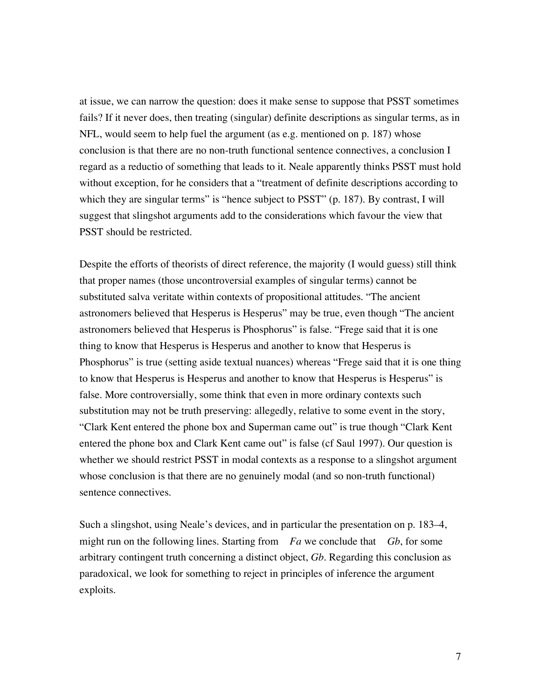at issue, we can narrow the question: does it make sense to suppose that PSST sometimes fails? If it never does, then treating (singular) definite descriptions as singular terms, as in NFL, would seem to help fuel the argument (as e.g. mentioned on p. 187) whose conclusion is that there are no non-truth functional sentence connectives, a conclusion I regard as a reductio of something that leads to it. Neale apparently thinks PSST must hold without exception, for he considers that a "treatment of definite descriptions according to which they are singular terms" is "hence subject to PSST" (p. 187). By contrast, I will suggest that slingshot arguments add to the considerations which favour the view that PSST should be restricted.

Despite the efforts of theorists of direct reference, the majority (I would guess) still think that proper names (those uncontroversial examples of singular terms) cannot be substituted salva veritate within contexts of propositional attitudes. "The ancient astronomers believed that Hesperus is Hesperus" may be true, even though "The ancient astronomers believed that Hesperus is Phosphorus" is false. "Frege said that it is one thing to know that Hesperus is Hesperus and another to know that Hesperus is Phosphorus" is true (setting aside textual nuances) whereas "Frege said that it is one thing to know that Hesperus is Hesperus and another to know that Hesperus is Hesperus" is false. More controversially, some think that even in more ordinary contexts such substitution may not be truth preserving: allegedly, relative to some event in the story, "Clark Kent entered the phone box and Superman came out" is true though "Clark Kent entered the phone box and Clark Kent came out" is false (cf Saul 1997). Our question is whether we should restrict PSST in modal contexts as a response to a slingshot argument whose conclusion is that there are no genuinely modal (and so non-truth functional) sentence connectives.

Such a slingshot, using Neale's devices, and in particular the presentation on p. 183–4, might run on the following lines. Starting from *Fa* we conclude that *Gb*, for some arbitrary contingent truth concerning a distinct object, *Gb*. Regarding this conclusion as paradoxical, we look for something to reject in principles of inference the argument exploits.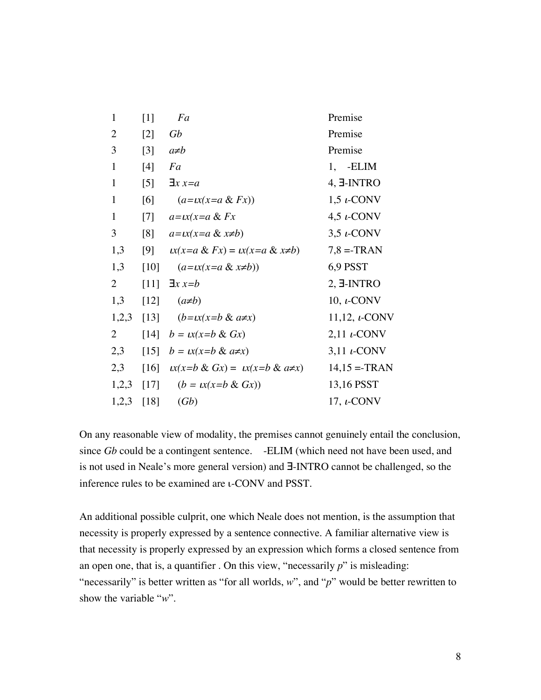| 1            | $\lceil 1 \rceil$ | Fa                                             | Premise              |
|--------------|-------------------|------------------------------------------------|----------------------|
| 2            | $[2]$             | Gb                                             | Premise              |
| 3            | $\lceil 3 \rceil$ | $a\not=b$                                      | Premise              |
| 1            | [4]               | Fa                                             | 1. - ELIM            |
| 1            | $\lceil 5 \rceil$ | $\exists x \, x = a$                           | 4, E-INTRO           |
| $\mathbf{1}$ | [6]               | $(a=x(x=a & Fx))$                              | $1,5$ $\iota$ -CONV  |
| $\mathbf{1}$ | $[7]$             | $a=x(x=a & Fx)$                                | $4.5 \t L-CONV$      |
| 3            | $\lceil 8 \rceil$ | $a=x(x=a & x\neq b)$                           | $3,5$ $\iota$ -CONV  |
| 1,3          | [9]               | $\iota x(x=a \& Fx) = \iota x(x=a \& x\neq b)$ | $7,8 = TRAN$         |
| 1,3          | $[10]$            | $(a=x(x=a & x\neq b))$                         | 6,9 PSST             |
| 2            | [11]              | $\exists x \, x = b$                           | $2, \exists$ -INTRO  |
| 1,3          | [12]              | $(a\not\equiv b)$                              | 10, $\iota$ -CONV    |
| 1,2,3        | $[13]$            | $(b=x(x=b & a \neq x)$                         | 11,12, $\iota$ -CONV |
| 2            |                   | [14] $b = \mu x(x=b \& Gx)$                    | $2,11$ $\iota$ -CONV |
| 2,3          |                   | [15] $b = \alpha(x=b \& a \neq x)$             | $3,11$ $\iota$ -CONV |
| 2,3          | [16]              | $\mu(x=b \& Gx) = \mu(x=b \& a \neq x)$        | $14,15 = TRAN$       |
| 1,2,3        | $[17]$            | $(b = \iota x(x = b \& Gx))$                   | 13,16 PSST           |
| 1,2,3        | [18]              | (Gb)                                           | 17, $\iota$ -CONV    |

On any reasonable view of modality, the premises cannot genuinely entail the conclusion, since *Gb* could be a contingent sentence. -ELIM (which need not have been used, and is not used in Neale's more general version) and ∃-INTRO cannot be challenged, so the inference rules to be examined are ι-CONV and PSST.

An additional possible culprit, one which Neale does not mention, is the assumption that necessity is properly expressed by a sentence connective. A familiar alternative view is that necessity is properly expressed by an expression which forms a closed sentence from an open one, that is, a quantifier . On this view, "necessarily *p*" is misleading: "necessarily" is better written as "for all worlds, *w*", and "*p*" would be better rewritten to show the variable "*w*".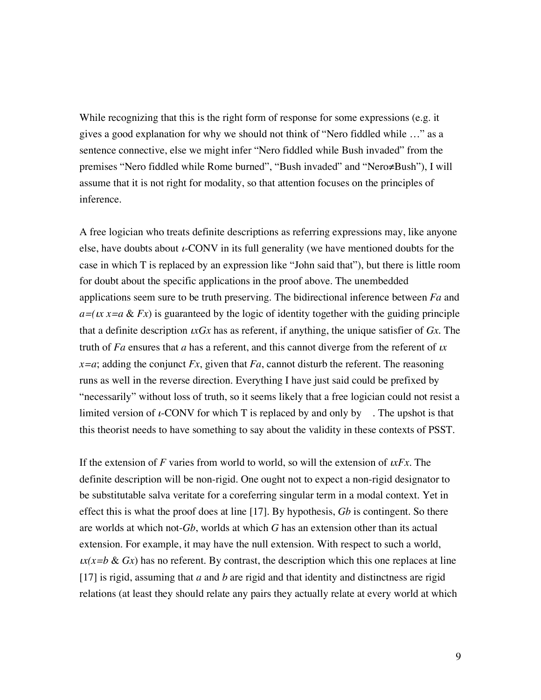While recognizing that this is the right form of response for some expressions (e.g. it gives a good explanation for why we should not think of "Nero fiddled while …" as a sentence connective, else we might infer "Nero fiddled while Bush invaded" from the premises "Nero fiddled while Rome burned", "Bush invaded" and "Nero≠Bush"), I will assume that it is not right for modality, so that attention focuses on the principles of inference.

A free logician who treats definite descriptions as referring expressions may, like anyone else, have doubts about  $\iota$ -CONV in its full generality (we have mentioned doubts for the case in which T is replaced by an expression like "John said that"), but there is little room for doubt about the specific applications in the proof above. The unembedded applications seem sure to be truth preserving. The bidirectional inference between *Fa* and  $a=(\mu x)=a \& Fx$ ) is guaranteed by the logic of identity together with the guiding principle that a definite description ι*xGx* has as referent, if anything, the unique satisfier of *Gx*. The truth of *Fa* ensures that *a* has a referent, and this cannot diverge from the referent of <sup>ι</sup>*x*  $x=a$ ; adding the conjunct *Fx*, given that *Fa*, cannot disturb the referent. The reasoning runs as well in the reverse direction. Everything I have just said could be prefixed by "necessarily" without loss of truth, so it seems likely that a free logician could not resist a limited version of  $\iota$ -CONV for which T is replaced by and only by . The upshot is that this theorist needs to have something to say about the validity in these contexts of PSST.

If the extension of *F* varies from world to world, so will the extension of  $\mu$ *Fx*. The definite description will be non-rigid. One ought not to expect a non-rigid designator to be substitutable salva veritate for a coreferring singular term in a modal context. Yet in effect this is what the proof does at line [17]. By hypothesis, *Gb* is contingent. So there are worlds at which not-*Gb*, worlds at which *G* has an extension other than its actual extension. For example, it may have the null extension. With respect to such a world,  $\alpha(x=b \& Gx)$  has no referent. By contrast, the description which this one replaces at line [17] is rigid, assuming that *a* and *b* are rigid and that identity and distinctness are rigid relations (at least they should relate any pairs they actually relate at every world at which